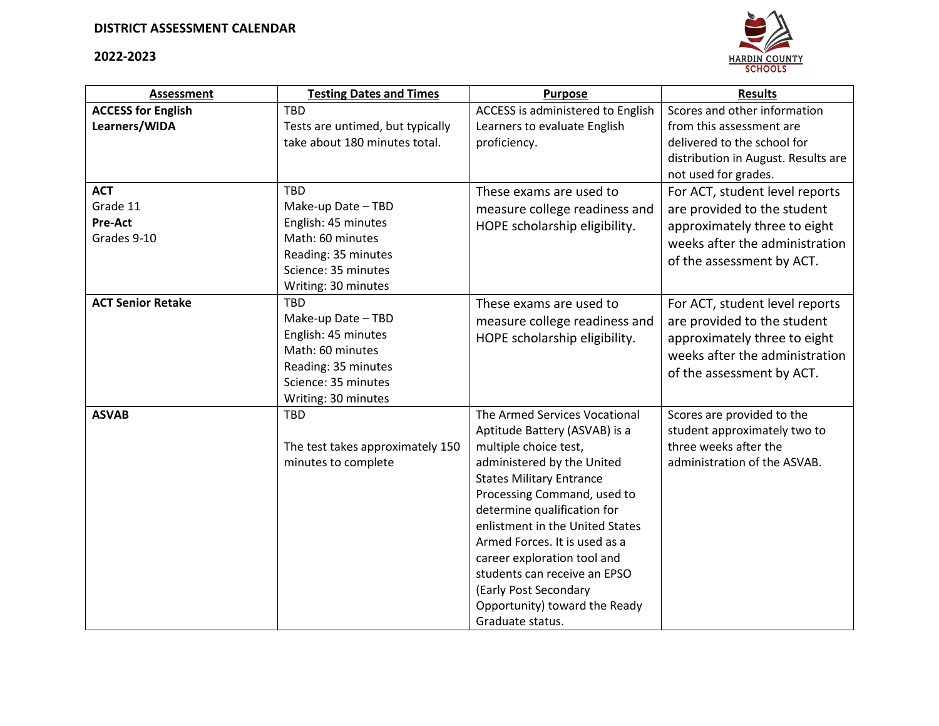## **2022-2023**



| <b>Assessment</b>         | <b>Testing Dates and Times</b>   | <b>Purpose</b>                    | <b>Results</b>                      |
|---------------------------|----------------------------------|-----------------------------------|-------------------------------------|
| <b>ACCESS for English</b> | <b>TBD</b>                       | ACCESS is administered to English | Scores and other information        |
| Learners/WIDA             | Tests are untimed, but typically | Learners to evaluate English      | from this assessment are            |
|                           | take about 180 minutes total.    | proficiency.                      | delivered to the school for         |
|                           |                                  |                                   | distribution in August. Results are |
|                           |                                  |                                   | not used for grades.                |
| <b>ACT</b>                | <b>TBD</b>                       | These exams are used to           | For ACT, student level reports      |
| Grade 11                  | Make-up Date - TBD               | measure college readiness and     | are provided to the student         |
| Pre-Act                   | English: 45 minutes              | HOPE scholarship eligibility.     | approximately three to eight        |
| Grades 9-10               | Math: 60 minutes                 |                                   | weeks after the administration      |
|                           | Reading: 35 minutes              |                                   | of the assessment by ACT.           |
|                           | Science: 35 minutes              |                                   |                                     |
|                           | Writing: 30 minutes              |                                   |                                     |
| <b>ACT Senior Retake</b>  | <b>TBD</b>                       | These exams are used to           | For ACT, student level reports      |
|                           | Make-up Date - TBD               | measure college readiness and     | are provided to the student         |
|                           | English: 45 minutes              | HOPE scholarship eligibility.     | approximately three to eight        |
|                           | Math: 60 minutes                 |                                   | weeks after the administration      |
|                           | Reading: 35 minutes              |                                   | of the assessment by ACT.           |
|                           | Science: 35 minutes              |                                   |                                     |
|                           | Writing: 30 minutes              |                                   |                                     |
| <b>ASVAB</b>              | <b>TBD</b>                       | The Armed Services Vocational     | Scores are provided to the          |
|                           |                                  | Aptitude Battery (ASVAB) is a     | student approximately two to        |
|                           | The test takes approximately 150 | multiple choice test,             | three weeks after the               |
|                           | minutes to complete              | administered by the United        | administration of the ASVAB.        |
|                           |                                  | <b>States Military Entrance</b>   |                                     |
|                           |                                  | Processing Command, used to       |                                     |
|                           |                                  | determine qualification for       |                                     |
|                           |                                  | enlistment in the United States   |                                     |
|                           |                                  | Armed Forces. It is used as a     |                                     |
|                           |                                  | career exploration tool and       |                                     |
|                           |                                  | students can receive an EPSO      |                                     |
|                           |                                  | (Early Post Secondary             |                                     |
|                           |                                  | Opportunity) toward the Ready     |                                     |
|                           |                                  | Graduate status.                  |                                     |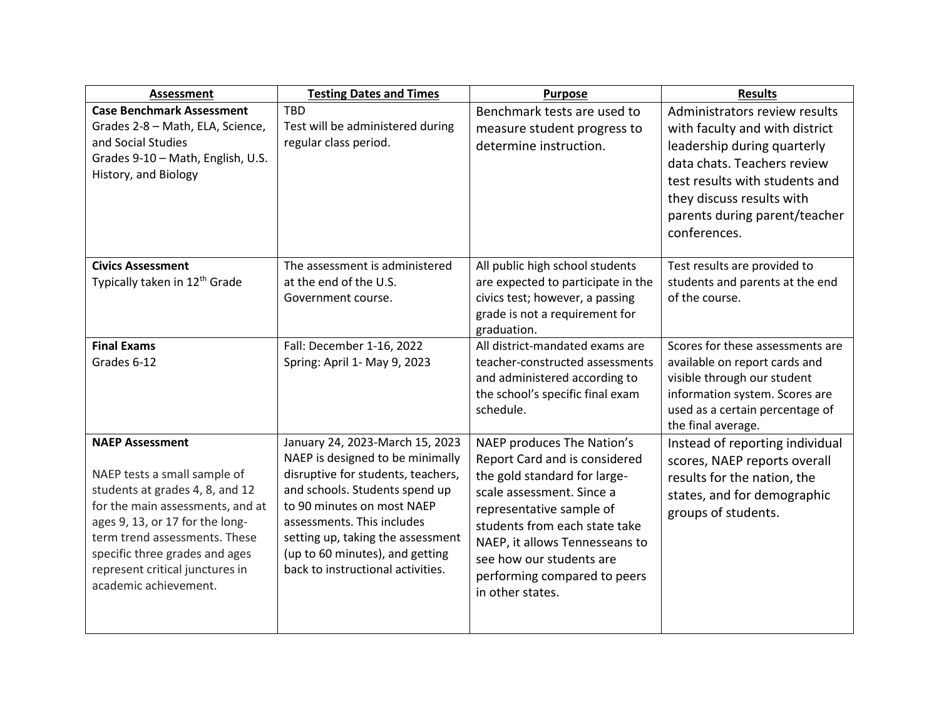| <b>Assessment</b>                                                                                                                                                                                                                                                                               | <b>Testing Dates and Times</b>                                                                                                                                                                                                                                                                                       | <b>Purpose</b>                                                                                                                                                                                                                                                                                          | <b>Results</b>                                                                                                                                                                                                                                |
|-------------------------------------------------------------------------------------------------------------------------------------------------------------------------------------------------------------------------------------------------------------------------------------------------|----------------------------------------------------------------------------------------------------------------------------------------------------------------------------------------------------------------------------------------------------------------------------------------------------------------------|---------------------------------------------------------------------------------------------------------------------------------------------------------------------------------------------------------------------------------------------------------------------------------------------------------|-----------------------------------------------------------------------------------------------------------------------------------------------------------------------------------------------------------------------------------------------|
| <b>Case Benchmark Assessment</b><br>Grades 2-8 - Math, ELA, Science,<br>and Social Studies<br>Grades 9-10 - Math, English, U.S.<br>History, and Biology                                                                                                                                         | <b>TBD</b><br>Test will be administered during<br>regular class period.                                                                                                                                                                                                                                              | Benchmark tests are used to<br>measure student progress to<br>determine instruction.                                                                                                                                                                                                                    | Administrators review results<br>with faculty and with district<br>leadership during quarterly<br>data chats. Teachers review<br>test results with students and<br>they discuss results with<br>parents during parent/teacher<br>conferences. |
| <b>Civics Assessment</b><br>Typically taken in 12 <sup>th</sup> Grade                                                                                                                                                                                                                           | The assessment is administered<br>at the end of the U.S.<br>Government course.                                                                                                                                                                                                                                       | All public high school students<br>are expected to participate in the<br>civics test; however, a passing<br>grade is not a requirement for<br>graduation.                                                                                                                                               | Test results are provided to<br>students and parents at the end<br>of the course.                                                                                                                                                             |
| <b>Final Exams</b><br>Grades 6-12                                                                                                                                                                                                                                                               | Fall: December 1-16, 2022<br>Spring: April 1- May 9, 2023                                                                                                                                                                                                                                                            | All district-mandated exams are<br>teacher-constructed assessments<br>and administered according to<br>the school's specific final exam<br>schedule.                                                                                                                                                    | Scores for these assessments are<br>available on report cards and<br>visible through our student<br>information system. Scores are<br>used as a certain percentage of<br>the final average.                                                   |
| <b>NAEP Assessment</b><br>NAEP tests a small sample of<br>students at grades 4, 8, and 12<br>for the main assessments, and at<br>ages 9, 13, or 17 for the long-<br>term trend assessments. These<br>specific three grades and ages<br>represent critical junctures in<br>academic achievement. | January 24, 2023-March 15, 2023<br>NAEP is designed to be minimally<br>disruptive for students, teachers,<br>and schools. Students spend up<br>to 90 minutes on most NAEP<br>assessments. This includes<br>setting up, taking the assessment<br>(up to 60 minutes), and getting<br>back to instructional activities. | NAEP produces The Nation's<br>Report Card and is considered<br>the gold standard for large-<br>scale assessment. Since a<br>representative sample of<br>students from each state take<br>NAEP, it allows Tennesseans to<br>see how our students are<br>performing compared to peers<br>in other states. | Instead of reporting individual<br>scores, NAEP reports overall<br>results for the nation, the<br>states, and for demographic<br>groups of students.                                                                                          |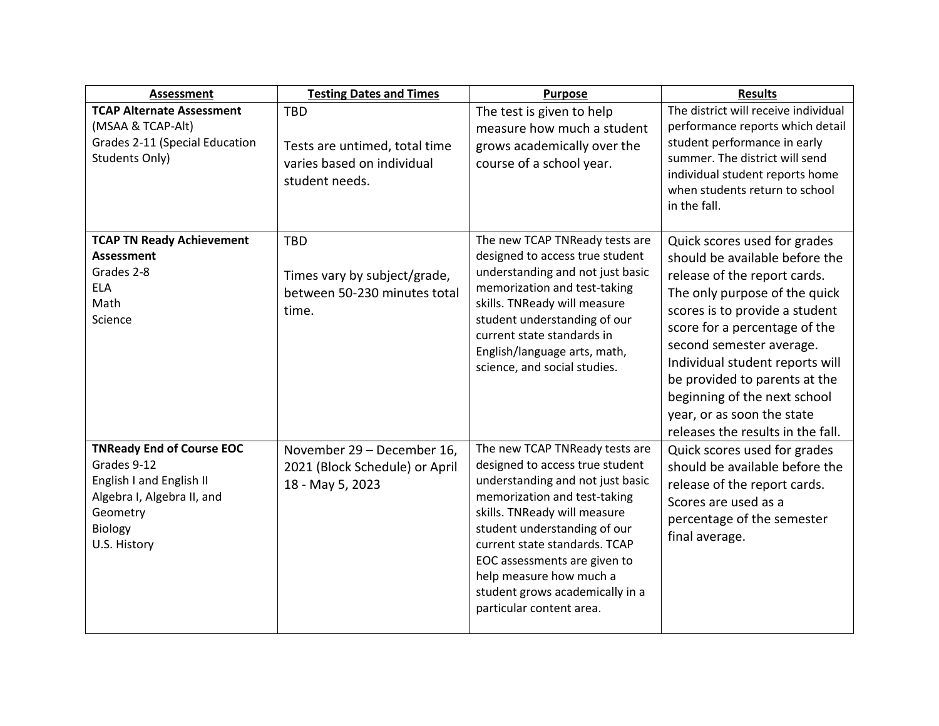| <b>Assessment</b>                                                                                                                                | <b>Testing Dates and Times</b>                                                              | <b>Purpose</b>                                                                                                                                                                                                                                                                                                                                                   | <b>Results</b>                                                                                                                                                                                                                                                                                                                                                                                        |
|--------------------------------------------------------------------------------------------------------------------------------------------------|---------------------------------------------------------------------------------------------|------------------------------------------------------------------------------------------------------------------------------------------------------------------------------------------------------------------------------------------------------------------------------------------------------------------------------------------------------------------|-------------------------------------------------------------------------------------------------------------------------------------------------------------------------------------------------------------------------------------------------------------------------------------------------------------------------------------------------------------------------------------------------------|
| <b>TCAP Alternate Assessment</b><br>(MSAA & TCAP-Alt)<br>Grades 2-11 (Special Education<br>Students Only)                                        | <b>TBD</b><br>Tests are untimed, total time<br>varies based on individual<br>student needs. | The test is given to help<br>measure how much a student<br>grows academically over the<br>course of a school year.                                                                                                                                                                                                                                               | The district will receive individual<br>performance reports which detail<br>student performance in early<br>summer. The district will send<br>individual student reports home<br>when students return to school<br>in the fall.                                                                                                                                                                       |
| <b>TCAP TN Ready Achievement</b><br><b>Assessment</b><br>Grades 2-8<br><b>ELA</b><br>Math<br>Science                                             | <b>TBD</b><br>Times vary by subject/grade,<br>between 50-230 minutes total<br>time.         | The new TCAP TNReady tests are<br>designed to access true student<br>understanding and not just basic<br>memorization and test-taking<br>skills. TNReady will measure<br>student understanding of our<br>current state standards in<br>English/language arts, math,<br>science, and social studies.                                                              | Quick scores used for grades<br>should be available before the<br>release of the report cards.<br>The only purpose of the quick<br>scores is to provide a student<br>score for a percentage of the<br>second semester average.<br>Individual student reports will<br>be provided to parents at the<br>beginning of the next school<br>year, or as soon the state<br>releases the results in the fall. |
| <b>TNReady End of Course EOC</b><br>Grades 9-12<br>English I and English II<br>Algebra I, Algebra II, and<br>Geometry<br>Biology<br>U.S. History | November 29 - December 16,<br>2021 (Block Schedule) or April<br>18 - May 5, 2023            | The new TCAP TNReady tests are<br>designed to access true student<br>understanding and not just basic<br>memorization and test-taking<br>skills. TNReady will measure<br>student understanding of our<br>current state standards. TCAP<br>EOC assessments are given to<br>help measure how much a<br>student grows academically in a<br>particular content area. | Quick scores used for grades<br>should be available before the<br>release of the report cards.<br>Scores are used as a<br>percentage of the semester<br>final average.                                                                                                                                                                                                                                |